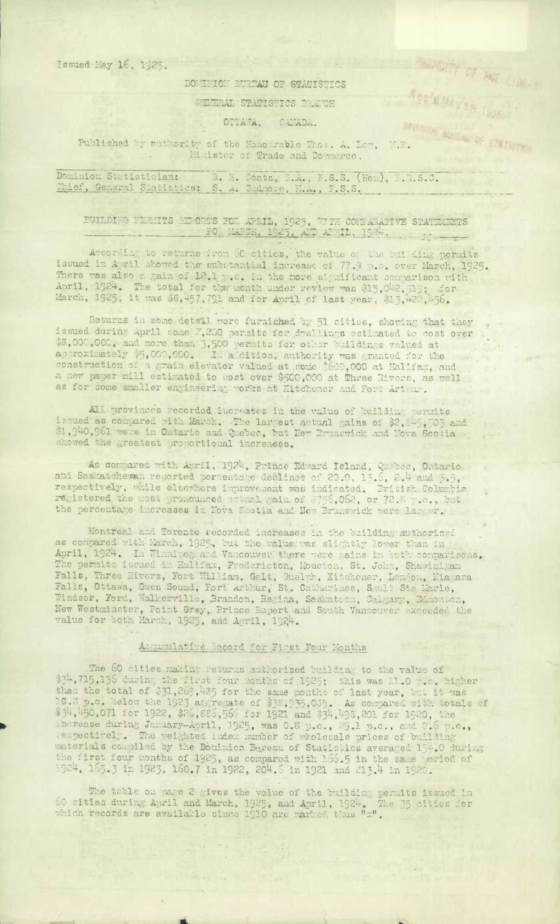Issued May 16, 1925.

## DOMINION BUREAU OF STATISTICS

NOVEMBER OF THE LINEAR

 $\ddot{\cdot}$ 

Rec'd WAY 28 1926

GENERAL STATISTICS BRATCH

## OTTATA, GATADA.

DRIGHTON GUIDEAU OF BTATHFORD Published by suthority of the Honourable Thos. A. Low, M.B. l'inister of Trade and Commerce.

Dominion Statistician: R. E. Coats, D.A., F.S.S. (Hom), M.R.S.C. Chief, General Statistics: S. A. Cidnore, M.A., I.S.S.

PUILDING FIRMITS RIPORTS FOR APRIL, 1925, TITE CONFARATIVE STATEMENTS

According to returns from 50 cities, the value of the building permits<br>issued in April showed the substantial increase of 77.9 p.c. over March, 1925.<br>There was also a gain of 12.1 p.c. in the more significant comparison wi

Returns in some detail were furnished by 51 cities, showing that they<br>issued during april some 2,200 permits for dwellings estimated to cost over<br>\$5,000,000, and more than 3,500 permits for other buildings valued at<br>approx

All provinces recorded increases in the value of building sermits issued as compared with March. The largest actual gains of \$2,845,503 and \$1,940,961 were in Ontario and Quebec, but New Brunswick and Nova Scotia showed the greatest proportional increases.

As compared with April, 1924, Prince Edward Island, Quebec, Ontario. and Saskatchewan reported percentage declines of 20.0, 13.5, 2.4 and 5.5, respectively, while elsewhere improvement was indicated. British Columbia.<br>registered the most pronounced notual gain of \$756,062, or 72.5 .c., but<br>the percentage increases in Nova Scotia and New Brunswick were larger.

Montreal and Toronto recorded increases in the building authorized as compared with March, 1925, but the value was slightly lower than in April, 1924. In Winnipeg and Vancouver there were gains in both comparisons. The permits issued in Halifax, Fredericton, Moncton, St. John, Shavinigan Ine permits Issued In Hallian, Fredericton, Moncton, St. John, Shawinigan<br>Falls, Three Rivers, Fort William, Galt, Guelph, Kitchener, London, Niagara<br>Falls, Ottawa, Owen Sound, Port Arthur, St. Catharines, Sault Ste Marie,

## Accumulative Record for First Four Months

The 60 dities making returns authorized building to the value of \$34.715.156 during the first four months of 1925; this was 11.0 p.c. higher than the total of \$31,269,425 for the same months of 1929; sinks was into beet interest<br>16.3 p.c. below the 1923 aggregate of \$35,935,035. As compared with totals of<br>11,450,071 for 1922, \$26,826,556 for 1921 and 334,495,20 respectively. The weighted index number of wholesale prices of building materials compiled by the Dominion Bureau of Statistics averaged 154.0 during<br>the first four months of 1925, as compared with 155.5 in the same period of<br>1924, 155.3 in 1923, 150.7 in 1922, 204.6 in 1921 and 213.4 in 1920.

The table on page 2 gives the value of the building permits issued in 60 cities during April and March, 1925, and April, 1924. The mich records are available since 1910 ane marked thus "x". The 35 cities for

 $\mathcal{F}^{\mathcal{G}}_{\mathcal{G}}(\mathbb{C}^2)$